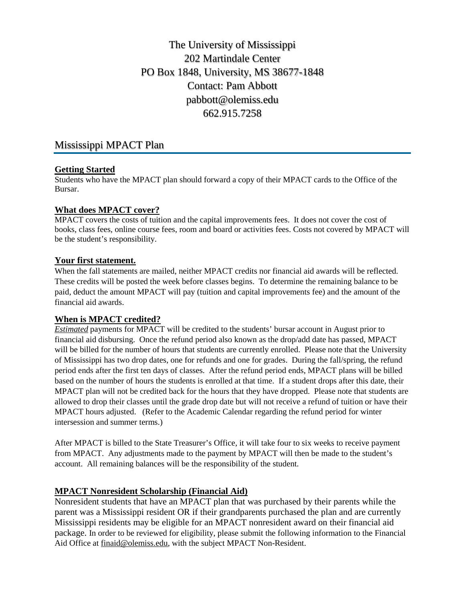The University of Mississippi 202 Martindale Center PO Box 1848, University, MS 38677-1848 Contact: Pam Abbott pabbott@olemiss.edu 662.915.7258

# Mississippi MPACT Plan

# **Getting Started**

Students who have the MPACT plan should forward a copy of their MPACT cards to the Office of the Bursar.

### **What does MPACT cover?**

MPACT covers the costs of tuition and the capital improvements fees. It does not cover the cost of books, class fees, online course fees, room and board or activities fees. Costs not covered by MPACT will be the student's responsibility.

# **Your first statement.**

When the fall statements are mailed, neither MPACT credits nor financial aid awards will be reflected. These credits will be posted the week before classes begins. To determine the remaining balance to be paid, deduct the amount MPACT will pay (tuition and capital improvements fee) and the amount of the financial aid awards.

#### **When is MPACT credited?**

*Estimated* payments for MPACT will be credited to the students' bursar account in August prior to financial aid disbursing. Once the refund period also known as the drop/add date has passed, MPACT will be billed for the number of hours that students are currently enrolled. Please note that the University of Mississippi has two drop dates, one for refunds and one for grades. During the fall/spring, the refund period ends after the first ten days of classes. After the refund period ends, MPACT plans will be billed based on the number of hours the students is enrolled at that time. If a student drops after this date, their MPACT plan will not be credited back for the hours that they have dropped. Please note that students are allowed to drop their classes until the grade drop date but will not receive a refund of tuition or have their MPACT hours adjusted. (Refer to the Academic Calendar regarding the refund period for winter intersession and summer terms.)

After MPACT is billed to the State Treasurer's Office, it will take four to six weeks to receive payment from MPACT. Any adjustments made to the payment by MPACT will then be made to the student's account. All remaining balances will be the responsibility of the student.

# **MPACT Nonresident Scholarship (Financial Aid)**

Nonresident students that have an MPACT plan that was purchased by their parents while the parent was a Mississippi resident OR if their grandparents purchased the plan and are currently Mississippi residents may be eligible for an MPACT nonresident award on their financial aid package. In order to be reviewed for eligibility, please submit the following information to the Financial Aid Office at [finaid@olemiss.edu,](mailto:finaid@olemiss.edu) with the subject MPACT Non-Resident.